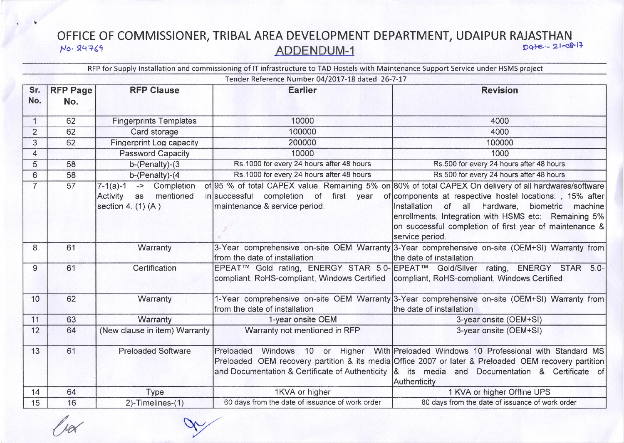## OFFICE OF COMMISSIONER, TRIBAL AREA DEVELOPMENT DEPARTMENT, UDAIPUR RAJASTHAN Date - 21-08-17 No. 24769 **ADDENDUM-1**

RFP for Supply Installation and commissioning of IT infrastructure to TAD Hostels with Maintenance Support Service under HSMS project

|                | Tender Reference Number 04/2017-18 dated 26-7-17 |                                                                            |                                                                                             |                                                                                                                                                                                                                                                                                                                                                                                                                       |  |
|----------------|--------------------------------------------------|----------------------------------------------------------------------------|---------------------------------------------------------------------------------------------|-----------------------------------------------------------------------------------------------------------------------------------------------------------------------------------------------------------------------------------------------------------------------------------------------------------------------------------------------------------------------------------------------------------------------|--|
| Sr.<br>No.     | <b>RFP Page</b><br>No.                           | <b>RFP Clause</b>                                                          | <b>Earlier</b>                                                                              | <b>Revision</b>                                                                                                                                                                                                                                                                                                                                                                                                       |  |
| $\mathbf{1}$   | 62                                               | <b>Fingerprints Templates</b>                                              | 10000                                                                                       | 4000                                                                                                                                                                                                                                                                                                                                                                                                                  |  |
| 2              | 62                                               | Card storage                                                               | 100000                                                                                      | 4000                                                                                                                                                                                                                                                                                                                                                                                                                  |  |
| 3              | 62                                               | <b>Fingerprint Log capacity</b>                                            | 200000                                                                                      | 100000                                                                                                                                                                                                                                                                                                                                                                                                                |  |
| $\overline{4}$ |                                                  | <b>Password Capacity</b>                                                   | 10000                                                                                       | 1000                                                                                                                                                                                                                                                                                                                                                                                                                  |  |
| 5              | 58                                               | $b$ -(Penalty)-(3                                                          | Rs. 1000 for every 24 hours after 48 hours                                                  | Rs.500 for every 24 hours after 48 hours                                                                                                                                                                                                                                                                                                                                                                              |  |
| 6              | 58                                               | b-(Penalty)-(4                                                             | Rs. 1000 for every 24 hours after 48 hours                                                  | Rs.500 for every 24 hours after 48 hours                                                                                                                                                                                                                                                                                                                                                                              |  |
| $\overline{7}$ | 57                                               | -> Completion<br>$7-1(a)-1$<br>Activity as mentioned<br>section 4. (1) (A) | in successful completion of first year<br>maintenance & service period.                     | of 95 % of total CAPEX value. Remaining 5% on 80% of total CAPEX On delivery of all hardwares/software<br>of components at respective hostel locations: , 15% after<br>of all hardware, biometric machine<br>Installation<br>enrollments, Integration with HSMS etc:, Remaining 5%<br>on successful completion of first year of maintenance &<br>service period.                                                      |  |
| 8              | 61                                               | Warranty                                                                   | from the date of installation                                                               | 3-Year comprehensive on-site OEM Warranty 3-Year comprehensive on-site (OEM+SI) Warranty from<br>the date of installation                                                                                                                                                                                                                                                                                             |  |
| 9              | 61                                               | Certification                                                              | compliant, RoHS-compliant, Windows Certified   compliant, RoHS-compliant, Windows Certified | EPEAT™ Gold rating, ENERGY STAR 5.0- EPEAT™ Gold/Silver rating, ENERGY STAR 5.0-                                                                                                                                                                                                                                                                                                                                      |  |
| 10             | 62                                               | Warranty                                                                   | from the date of installation                                                               | 1-Year comprehensive on-site OEM Warranty 3-Year comprehensive on-site (OEM+SI) Warranty from<br>the date of installation                                                                                                                                                                                                                                                                                             |  |
| 11             | 63                                               | Warranty                                                                   | 1-year onsite OEM                                                                           | 3-year onsite (OEM+SI)                                                                                                                                                                                                                                                                                                                                                                                                |  |
| 12             | 64                                               | (New clause in item) Warranty                                              | Warranty not mentioned in RFP                                                               | 3-year onsite (OEM+SI)                                                                                                                                                                                                                                                                                                                                                                                                |  |
| 13             | 61                                               | <b>Preloaded Software</b>                                                  |                                                                                             | Preloaded Windows 10 or Higher With Preloaded Windows 10 Professional with Standard MS<br>Preloaded OEM recovery partition & its media Office 2007 or later & Preloaded OEM recovery partition<br>and Documentation & Certificate of Authenticity $\begin{vmatrix} 8 & 15 & \text{median} & \text{on} & \text{Definition} & \text{A} \\ 0 & 0 & 0 & \text{in} \\ 0 & 0 & 0 & \text{in} \end{vmatrix}$<br>Authenticity |  |
| 14             | 64                                               | Type                                                                       | 1KVA or higher                                                                              | 1 KVA or higher Offline UPS                                                                                                                                                                                                                                                                                                                                                                                           |  |
| 15             | 16                                               | 2)-Timelines-(1)                                                           | 60 days from the date of issuance of work order                                             | 80 days from the date of issuance of work order                                                                                                                                                                                                                                                                                                                                                                       |  |

 $\frac{1}{10}$ 

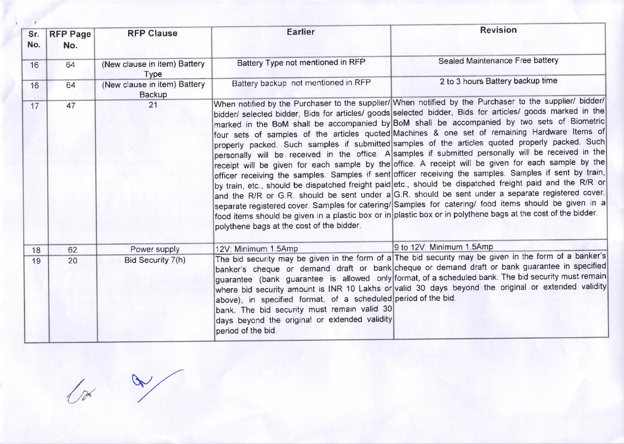| Sr.<br>No. | <b>RFP Page</b><br>No. | <b>RFP Clause</b>                             | <b>Earlier</b>                                                                                                                                                                       | <b>Revision</b>                                                                                                                                                                                                                                                                                                                                                                                                                                                                                                                                                                                                                                                                                                                                                                                                                                                                                                                                                                                                                                                                                                                                                                                                                                                                               |
|------------|------------------------|-----------------------------------------------|--------------------------------------------------------------------------------------------------------------------------------------------------------------------------------------|-----------------------------------------------------------------------------------------------------------------------------------------------------------------------------------------------------------------------------------------------------------------------------------------------------------------------------------------------------------------------------------------------------------------------------------------------------------------------------------------------------------------------------------------------------------------------------------------------------------------------------------------------------------------------------------------------------------------------------------------------------------------------------------------------------------------------------------------------------------------------------------------------------------------------------------------------------------------------------------------------------------------------------------------------------------------------------------------------------------------------------------------------------------------------------------------------------------------------------------------------------------------------------------------------|
| 16         | 64                     | (New clause in item) Battery<br><b>Type</b>   | Battery Type not mentioned in RFP                                                                                                                                                    | Sealed Maintenance Free battery                                                                                                                                                                                                                                                                                                                                                                                                                                                                                                                                                                                                                                                                                                                                                                                                                                                                                                                                                                                                                                                                                                                                                                                                                                                               |
| 16         | 64                     | (New clause in item) Battery<br><b>Backup</b> | Battery backup not mentioned in RFP                                                                                                                                                  | 2 to 3 hours Battery backup time                                                                                                                                                                                                                                                                                                                                                                                                                                                                                                                                                                                                                                                                                                                                                                                                                                                                                                                                                                                                                                                                                                                                                                                                                                                              |
| 17         | 47                     | 21                                            | polythene bags at the cost of the bidder.                                                                                                                                            | When notified by the Purchaser to the supplier/ When notified by the Purchaser to the supplier/ bidder/<br>bidder/ selected bidder, Bids for articles/ goods selected bidder, Bids for articles/ goods marked in the<br>marked in the BoM shall be accompanied by BoM shall be accompanied by two sets of Biometric<br>four sets of samples of the articles quoted Machines & one set of remaining Hardware Items of<br>properly packed. Such samples if submitted samples of the articles quoted properly packed. Such<br>personally will be received in the office. A samples if submitted personally will be received in the<br>receipt will be given for each sample by the office. A receipt will be given for each sample by the<br>officer receiving the samples. Samples if sent officer receiving the samples. Samples if sent by train,<br>by train, etc., should be dispatched freight paid etc., should be dispatched freight paid and the R/R or<br>and the R/R or G.R. should be sent under a G.R. should be sent under a separate registered cover.<br>separate registered cover. Samples for catering/ Samples for catering/ food items should be given in a<br>food items should be given in a plastic box or in plastic box or in polythene bags at the cost of the bidder. |
| 18         | 62                     | Power supply                                  | 12V: Minimum 1.5Amp                                                                                                                                                                  | 9 to 12V: Minimum 1.5Amp                                                                                                                                                                                                                                                                                                                                                                                                                                                                                                                                                                                                                                                                                                                                                                                                                                                                                                                                                                                                                                                                                                                                                                                                                                                                      |
| 19         | 20                     | Bid Security 7(h)                             | above), in specified format, of a scheduled period of the bid.<br>bank. The bid security must remain valid 30<br>days beyond the original or extended validity<br>period of the bid. | The bid security may be given in the form of a The bid security may be given in the form of a banker's<br>banker's cheque or demand draft or bank cheque or demand draft or bank guarantee in specified<br>guarantee (bank guarantee is allowed only format, of a scheduled bank. The bid security must remain<br>where bid security amount is INR 10 Lakhs or valid 30 days beyond the original or extended validity                                                                                                                                                                                                                                                                                                                                                                                                                                                                                                                                                                                                                                                                                                                                                                                                                                                                         |

 $/$